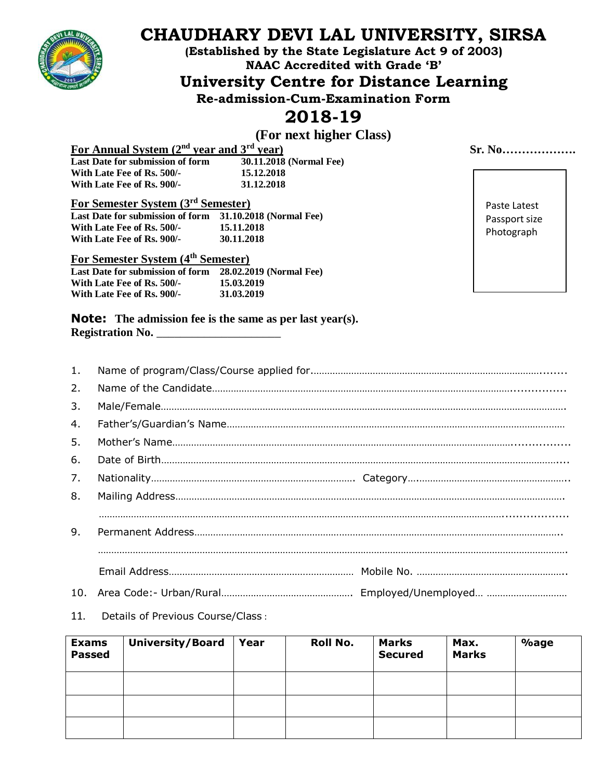

# **CHAUDHARY DEVI LAL UNIVERSITY, SIRSA**

**(Established by the State Legislature Act 9 of 2003) NAAC Accredited with Grade 'B'**

**University Centre for Distance Learning**

**Re-admission-Cum-Examination Form**

## **2018-19**

### **(For next higher Class)**

**For Annual System (2nd year and 3rd year) Sr. No………………. Last Date for submission of form 30.11.2018**<br>With Late Fee of Rs. 500/- **15.12.2018 With Late Fee of Rs. 500/-** 15.12.2018<br>
With Late Fee of Rs. 900/- 31.12.2018 With Late Fee of Rs. 900/-

**For Semester System (3 rd Semester)**

| Last Date for submission of form | 31.10.2018 (Normal Fee) |
|----------------------------------|-------------------------|
| With Late Fee of Rs. 500/-       | 15.11.2018              |
| With Late Fee of Rs. 900/-       | 30.11.2018              |

#### **For Semester System (4 th Semester)**

| Last Date for submission of form | 28.02.2019 (Normal Fee) |
|----------------------------------|-------------------------|
| With Late Fee of Rs. 500/-       | 15.03.2019              |
| With Late Fee of Rs. 900/-       | 31.03.2019              |

### Paste Latest Passport size Photograph

**Note: The admission fee is the same as per last year(s). Registration No.** \_\_\_\_\_\_\_\_\_\_\_\_\_\_\_\_\_\_\_\_\_

| 1. |  |
|----|--|
| 2. |  |
| 3. |  |
| 4. |  |
| 5. |  |
| 6. |  |
| 7. |  |
| 8. |  |
|    |  |
| 9. |  |
|    |  |
|    |  |
|    |  |

#### 11. Details of Previous Course/Class :

| <b>Exams</b><br><b>Passed</b> | <b>University/Board</b> | Year | Roll No. | <b>Marks</b><br><b>Secured</b> | Max.<br><b>Marks</b> | $\%$ age |
|-------------------------------|-------------------------|------|----------|--------------------------------|----------------------|----------|
|                               |                         |      |          |                                |                      |          |
|                               |                         |      |          |                                |                      |          |
|                               |                         |      |          |                                |                      |          |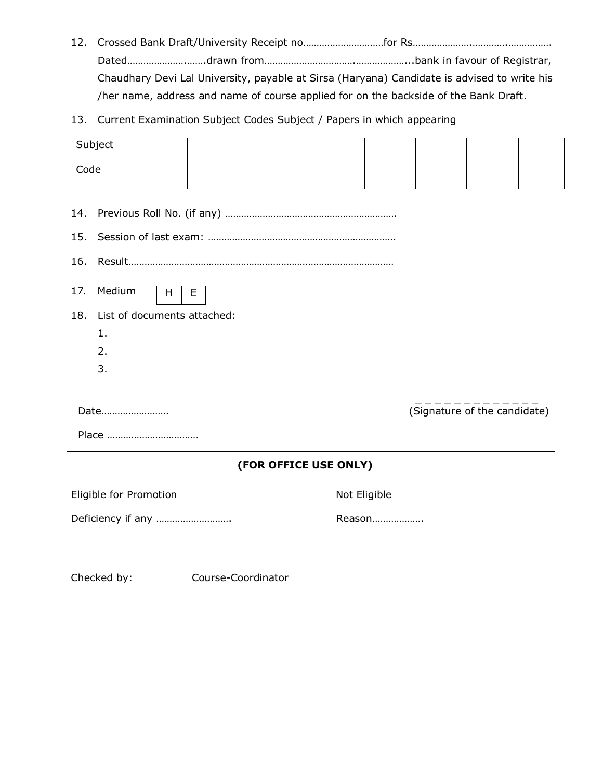- 12. Crossed Bank Draft/University Receipt no…………………………for Rs………………….………….……………. Dated………………….…….drawn from…………………………….………………...bank in favour of Registrar, Chaudhary Devi Lal University, payable at Sirsa (Haryana) Candidate is advised to write his /her name, address and name of course applied for on the backside of the Bank Draft.
- 13. Current Examination Subject Codes Subject / Papers in which appearing

|                                 | Subject            |                                  |   |                       |              |        |                              |  |
|---------------------------------|--------------------|----------------------------------|---|-----------------------|--------------|--------|------------------------------|--|
| Code                            |                    |                                  |   |                       |              |        |                              |  |
| 14.<br>15.<br>16.<br>17.<br>18. | Medium<br>1.<br>2. | H<br>List of documents attached: | Е |                       |              |        |                              |  |
|                                 | 3.                 |                                  |   |                       |              |        |                              |  |
|                                 |                    | Date                             |   |                       |              |        | (Signature of the candidate) |  |
|                                 |                    | Place                            |   |                       |              |        |                              |  |
|                                 |                    |                                  |   | (FOR OFFICE USE ONLY) |              |        |                              |  |
|                                 |                    | Eligible for Promotion           |   |                       | Not Eligible |        |                              |  |
|                                 |                    | Deficiency if any                |   |                       |              | Reason |                              |  |

Checked by: Course-Coordinator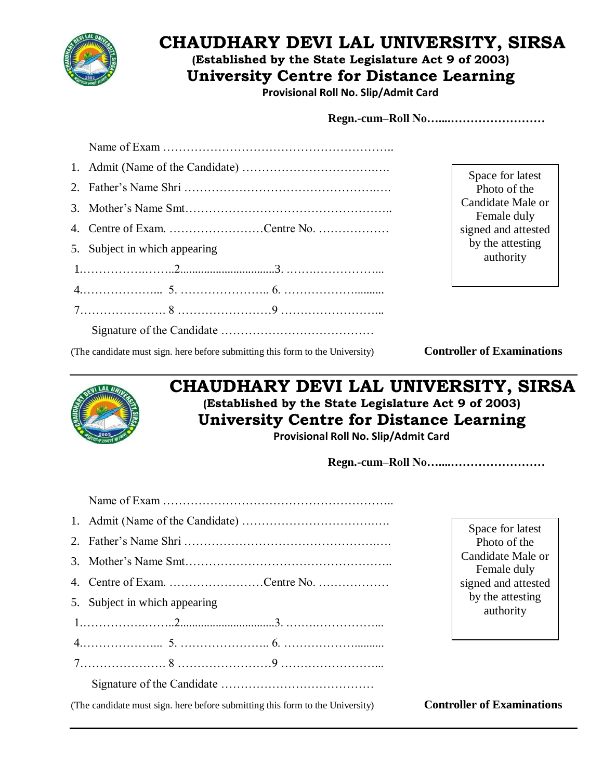

## **CHAUDHARY DEVI LAL UNIVERSITY, SIRSA**

**(Established by the State Legislature Act 9 of 2003)**

**University Centre for Distance Learning**

**Provisional Roll No. Slip/Admit Card**

| 4. Centre of Exam. Centre No. |
|-------------------------------|
| 5. Subject in which appearing |
|                               |
|                               |
|                               |
|                               |
|                               |

Space for latest Photo of the Candidate Male or Female duly signed and attested by the attesting authority

(The candidate must sign. here before submitting this form to the University) **Controller of Examinations**



## **CHAUDHARY DEVI LAL UNIVERSITY, SIRSA (Established by the State Legislature Act 9 of 2003) University Centre for Distance Learning**

**Provisional Roll No. Slip/Admit Card**

**Regn.-cum–Roll No…....……………………**

|                                                                               | Space for latest                  |
|-------------------------------------------------------------------------------|-----------------------------------|
|                                                                               | Photo of the                      |
|                                                                               | Candidate Male or<br>Female duly  |
| 4. Centre of Exam. Centre No.                                                 | signed and attested               |
| 5. Subject in which appearing                                                 | by the attesting<br>authority     |
|                                                                               |                                   |
|                                                                               |                                   |
|                                                                               |                                   |
|                                                                               |                                   |
| (The candidate must sign, here before submitting this form to the University) | <b>Controller of Examinations</b> |